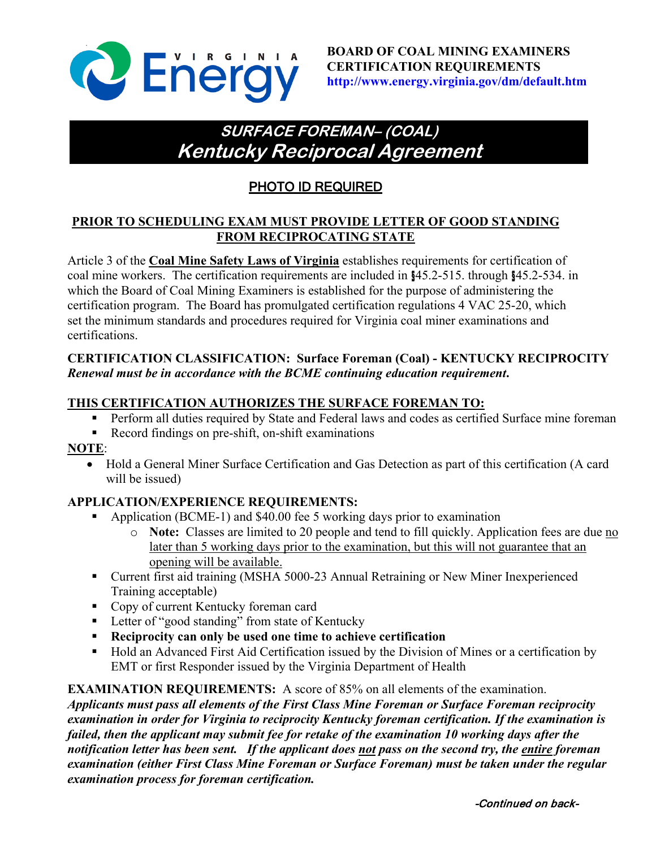

# **SURFACE FOREMAN– (COAL) Kentucky Reciprocal Agreement**

## PHOTO ID REQUIRED

### **PRIOR TO SCHEDULING EXAM MUST PROVIDE LETTER OF GOOD STANDING FROM RECIPROCATING STATE**

Article 3 of the **Coal Mine Safety Laws of Virginia** establishes requirements for certification of coal mine workers. The certification requirements are included in §45.2-515. through §45.2-534. in which the Board of Coal Mining Examiners is established for the purpose of administering the certification program. The Board has promulgated certification regulations 4 VAC 25-20, which set the minimum standards and procedures required for Virginia coal miner examinations and certifications.

#### **CERTIFICATION CLASSIFICATION: Surface Foreman (Coal) - KENTUCKY RECIPROCITY** *Renewal must be in accordance with the BCME continuing education requirement***.**

#### **THIS CERTIFICATION AUTHORIZES THE SURFACE FOREMAN TO:**

- **Perform all duties required by State and Federal laws and codes as certified Surface mine foreman**
- Record findings on pre-shift, on-shift examinations

#### **NOTE**:

• Hold a General Miner Surface Certification and Gas Detection as part of this certification (A card will be issued)

#### **APPLICATION/EXPERIENCE REQUIREMENTS:**

- Application (BCME-1) and \$40.00 fee 5 working days prior to examination
	- o **Note:** Classes are limited to 20 people and tend to fill quickly. Application fees are due no later than 5 working days prior to the examination, but this will not guarantee that an opening will be available.
- Current first aid training (MSHA 5000-23 Annual Retraining or New Miner Inexperienced Training acceptable)
- Copy of current Kentucky foreman card
- **Letter of "good standing" from state of Kentucky**
- **Reciprocity can only be used one time to achieve certification**
- Hold an Advanced First Aid Certification issued by the Division of Mines or a certification by EMT or first Responder issued by the Virginia Department of Health

#### **EXAMINATION REQUIREMENTS:** A score of 85% on all elements of the examination.

*Applicants must pass all elements of the First Class Mine Foreman or Surface Foreman reciprocity examination in order for Virginia to reciprocity Kentucky foreman certification. If the examination is failed, then the applicant may submit fee for retake of the examination 10 working days after the notification letter has been sent. If the applicant does not pass on the second try, the entire foreman examination (either First Class Mine Foreman or Surface Foreman) must be taken under the regular examination process for foreman certification.*